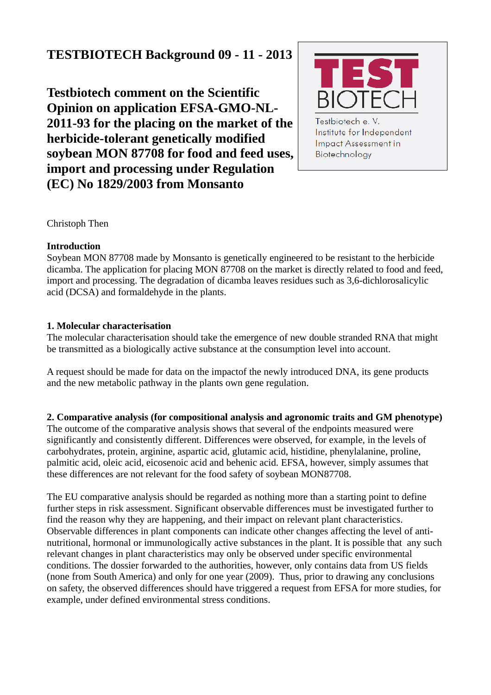# **TESTBIOTECH Background 09 - 11 - 2013**

**Testbiotech comment on the Scientific Opinion on application EFSA-GMO-NL-2011-93 for the placing on the market of the herbicide-tolerant genetically modified soybean MON 87708 for food and feed uses, import and processing under Regulation (EC) No 1829/2003 from Monsanto**



Testbiotech e.V. Institute for Independent **Impact Assessment in** Biotechnology

Christoph Then

#### **Introduction**

Soybean MON 87708 made by Monsanto is genetically engineered to be resistant to the herbicide dicamba. The application for placing MON 87708 on the market is directly related to food and feed, import and processing. The degradation of dicamba leaves residues such as 3,6-dichlorosalicylic acid (DCSA) and formaldehyde in the plants.

## **1. Molecular characterisation**

The molecular characterisation should take the emergence of new double stranded RNA that might be transmitted as a biologically active substance at the consumption level into account.

A request should be made for data on the impactof the newly introduced DNA, its gene products and the new metabolic pathway in the plants own gene regulation.

**2. Comparative analysis (for compositional analysis and agronomic traits and GM phenotype)** The outcome of the comparative analysis shows that several of the endpoints measured were significantly and consistently different. Differences were observed, for example, in the levels of carbohydrates, protein, arginine, aspartic acid, glutamic acid, histidine, phenylalanine, proline, palmitic acid, oleic acid, eicosenoic acid and behenic acid. EFSA, however, simply assumes that these differences are not relevant for the food safety of soybean MON87708.

The EU comparative analysis should be regarded as nothing more than a starting point to define further steps in risk assessment. Significant observable differences must be investigated further to find the reason why they are happening, and their impact on relevant plant characteristics. Observable differences in plant components can indicate other changes affecting the level of antinutritional, hormonal or immunologically active substances in the plant. It is possible that any such relevant changes in plant characteristics may only be observed under specific environmental conditions. The dossier forwarded to the authorities, however, only contains data from US fields (none from South America) and only for one year (2009). Thus, prior to drawing any conclusions on safety, the observed differences should have triggered a request from EFSA for more studies, for example, under defined environmental stress conditions.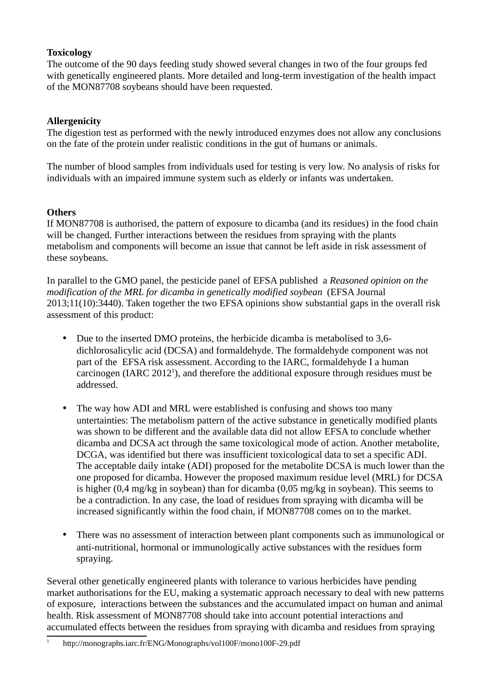## **Toxicology**

The outcome of the 90 days feeding study showed several changes in two of the four groups fed with genetically engineered plants. More detailed and long-term investigation of the health impact of the MON87708 soybeans should have been requested.

# **Allergenicity**

The digestion test as performed with the newly introduced enzymes does not allow any conclusions on the fate of the protein under realistic conditions in the gut of humans or animals.

The number of blood samples from individuals used for testing is very low. No analysis of risks for individuals with an impaired immune system such as elderly or infants was undertaken.

# **Others**

If MON87708 is authorised, the pattern of exposure to dicamba (and its residues) in the food chain will be changed. Further interactions between the residues from spraying with the plants metabolism and components will become an issue that cannot be left aside in risk assessment of these soybeans.

In parallel to the GMO panel, the pesticide panel of EFSA published a *Reasoned opinion on the modification of the MRL for dicamba in genetically modified soybean* (EFSA Journal 2013;11(10):3440). Taken together the two EFSA opinions show substantial gaps in the overall risk assessment of this product:

- Due to the inserted DMO proteins, the herbicide dicamba is metabolised to 3,6 dichlorosalicylic acid (DCSA) and formaldehyde. The formaldehyde component was not part of the EFSA risk assessment. According to the IARC, formaldehyde I a human carcinogen (IARC 20[1](#page-1-0)2<sup>1</sup>), and therefore the additional exposure through residues must be addressed.
- The way how ADI and MRL were established is confusing and shows too many untertainties: The metabolism pattern of the active substance in genetically modified plants was shown to be different and the available data did not allow EFSA to conclude whether dicamba and DCSA act through the same toxicological mode of action. Another metabolite, DCGA, was identified but there was insufficient toxicological data to set a specific ADI. The acceptable daily intake (ADI) proposed for the metabolite DCSA is much lower than the one proposed for dicamba. However the proposed maximum residue level (MRL) for DCSA is higher (0,4 mg/kg in soybean) than for dicamba (0,05 mg/kg in soybean). This seems to be a contradiction. In any case, the load of residues from spraying with dicamba will be increased significantly within the food chain, if MON87708 comes on to the market.
- There was no assessment of interaction between plant components such as immunological or anti-nutritional, hormonal or immunologically active substances with the residues form spraying.

Several other genetically engineered plants with tolerance to various herbicides have pending market authorisations for the EU, making a systematic approach necessary to deal with new patterns of exposure, interactions between the substances and the accumulated impact on human and animal health. Risk assessment of MON87708 should take into account potential interactions and accumulated effects between the residues from spraying with dicamba and residues from spraying

<span id="page-1-0"></span><sup>1</sup> http://monographs.iarc.fr/ENG/Monographs/vol100F/mono100F-29.pdf